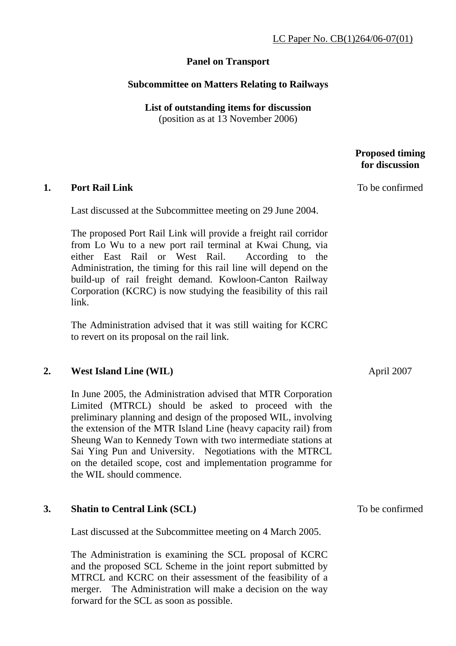# **Panel on Transport**

# **Subcommittee on Matters Relating to Railways**

**List of outstanding items for discussion**  (position as at 13 November 2006)

## **Proposed timing for discussion**

To be confirmed

#### **1. Port Rail Link**

Last discussed at the Subcommittee meeting on 29 June 2004.

The proposed Port Rail Link will provide a freight rail corridor from Lo Wu to a new port rail terminal at Kwai Chung, via either East Rail or West Rail. According to the Administration, the timing for this rail line will depend on the build-up of rail freight demand. Kowloon-Canton Railway Corporation (KCRC) is now studying the feasibility of this rail link.

The Administration advised that it was still waiting for KCRC to revert on its proposal on the rail link.

## **2. West Island Line (WIL)**

In June 2005, the Administration advised that MTR Corporation Limited (MTRCL) should be asked to proceed with the preliminary planning and design of the proposed WIL, involving the extension of the MTR Island Line (heavy capacity rail) from Sheung Wan to Kennedy Town with two intermediate stations at Sai Ying Pun and University. Negotiations with the MTRCL on the detailed scope, cost and implementation programme for the WIL should commence.

## **3. Shatin to Central Link (SCL)**

Last discussed at the Subcommittee meeting on 4 March 2005.

The Administration is examining the SCL proposal of KCRC and the proposed SCL Scheme in the joint report submitted by MTRCL and KCRC on their assessment of the feasibility of a merger. The Administration will make a decision on the way forward for the SCL as soon as possible.

April 2007

To be confirmed